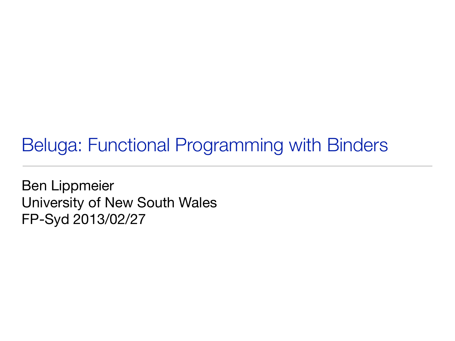## Beluga: Functional Programming with Binders

Ben Lippmeier University of New South Wales FP-Syd 2013/02/27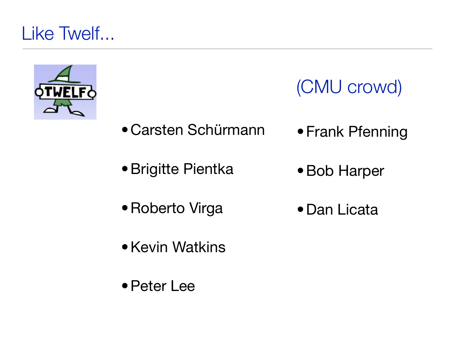

(CMU crowd)

- •[Carsten Schürmann](http://www.itu.dk/people/carsten/) •Frank Pfenning
- •Brigitte Pientka
- •Bob Harper
- •Roberto Virga •Dan Licata
- •Kevin Watkins
- •Peter Lee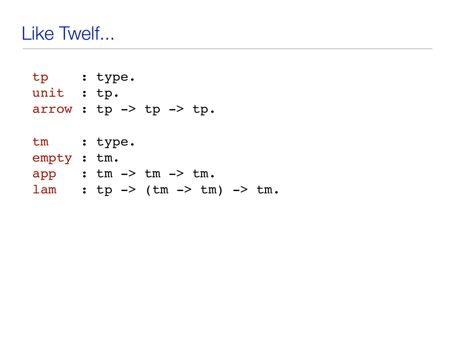tp : type. unit : tp. arrow :  $tp \rightarrow tp \rightarrow tp$ . tm : type. empty : tm. app : tm -> tm -> tm.  $lam : tp -> (tm -> tm) -> tm.$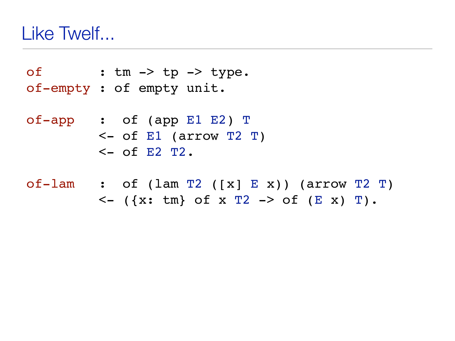of : tm -> tp -> type. of-empty : of empty unit.

of-app : of (app E1 E2) T  $\le$  - of E1 (arrow T2 T)  $<-$  of E2 T2.

of-lam : of (lam T2 ([x] E x)) (arrow T2 T)  $\langle - (x: tm\} of x T2 \rightarrow of (Ex) T).$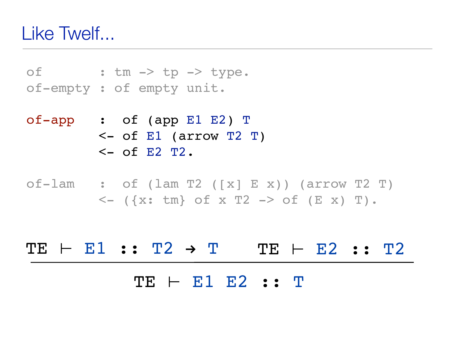of : tm -> tp -> type. of-empty : of empty unit.

- of-app : of (app E1 E2) T <- of E1 (arrow T2 T)  $\leq$  of E2 T2.
- of-lam : of (lam T2 ([x] E x)) (arrow T2 T)  $\langle - |$  ({x: tm} of x T2 -> of (E x) T).

# TE ⊢ E1 E2 :: T  $TE \vdash EI :: T2 \rightarrow T$  TE  $\vdash E2 :: T2$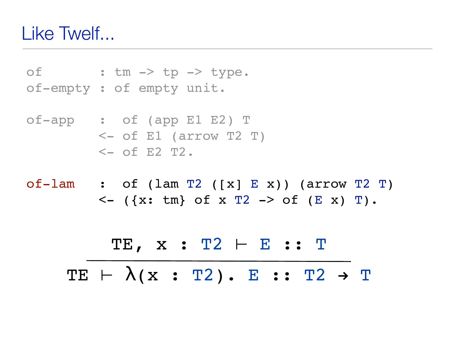of : tm -> tp -> type. of-empty : of empty unit.

of-app : of (app E1 E2) T <- of E1 (arrow T2 T)  $<-$  of E2 T2.

of-lam : of (lam T2 ([x] E x)) (arrow T2 T)  

$$
\leftarrow
$$
 ({x: tm} of x T2 -> of (E x) T).

TE, x : T2 ⊢ E :: T  $TE \vdash \lambda(x : T2) . E :: T2 \rightarrow T$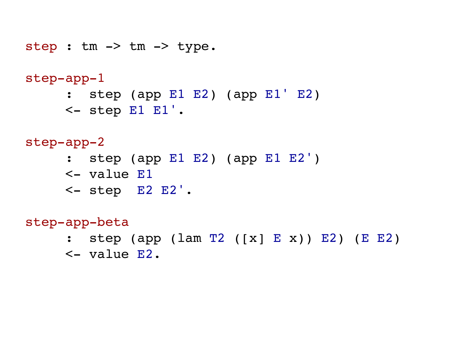step : tm -> tm -> type.

### step-app-1

- : step (app E1 E2) (app E1' E2)
- $\le$  step E1 E1'.

### step-app-2

- : step (app E1 E2) (app E1 E2')
- <- value E1
- <- step E2 E2'.

### step-app-beta

- : step (app (lam T2 ([x] E x)) E2) (E E2)
- <- value E2.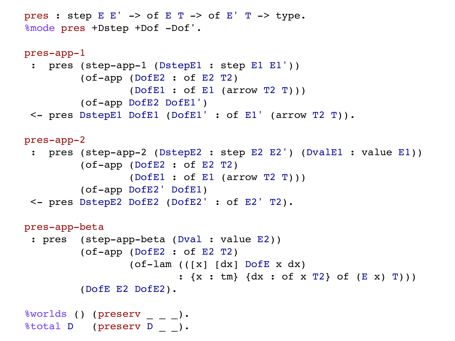```
pres : step E E' \rightarrow of E T \rightarrow of E' T \rightarrow type.
%mode pres +Dstep +Dof -Dof'. 
pres-app-1
  : pres (step-app-1 (DstepE1 : step E1 E1')) 
           (of-app (DofE2 : of E2 T2) 
                    (DofE1 : of E1 (arrow T2 T))) 
           (of-app DofE2 DofE1') 
  <- pres DstepE1 DofE1 (DofE1' : of E1' (arrow T2 T)). 
pres-app-2
  : pres (step-app-2 (DstepE2 : step E2 E2') (DvalE1 : value E1)) 
           (of-app (DofE2 : of E2 T2) 
                    (DofE1 : of E1 (arrow T2 T))) 
           (of-app DofE2' DofE1) 
  <- pres DstepE2 DofE2 (DofE2' : of E2' T2). 
pres-app-beta
  : pres (step-app-beta (Dval : value E2)) 
           (of-app (DofE2 : of E2 T2) 
                    (of-lam (([x] [dx] DofE x dx) 
                             : {x : tm} {dx : of x T2} of (E x) T))) 
           (DofE E2 DofE2). 
%worlds () (preserv _ _ _).
%total D (preserv D _ _).
```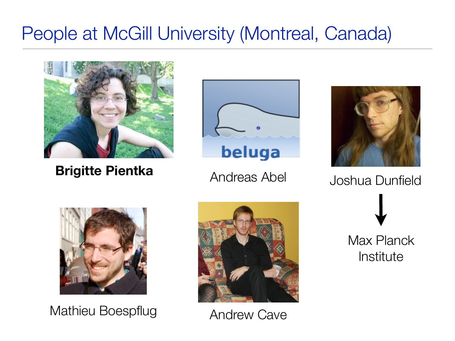## People at McGill University (Montreal, Canada)



**Brigitte Pientka**





Andreas Abel Joshua Dunfield



Mathieu Boespflug



Andrew Cave

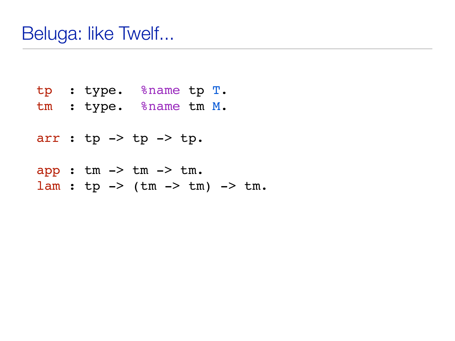- tp : type. %name tp T.
- tm : type. %name tm M.

```
arr : tp \rightarrow tp \rightarrow tp.
```
- app : tm -> tm -> tm.
- $lam : tp -> (tm -> tm) -> tm.$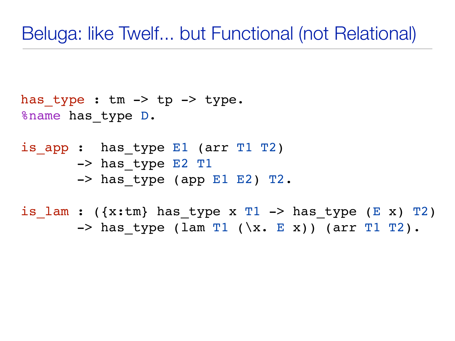### Beluga: like Twelf... but Functional (not Relational)

```
has type : tm \rightarrow tp \rightarrow type.
%name has_type D.
```
is app : has type E1 (arr T1 T2) -> has type E2 T1  $\rightarrow$  has type (app E1 E2) T2.

is lam : ( $\{x:tm\}$  has type x T1 -> has type (E x) T2)  $\Rightarrow$  has type (lam T1 (\x. E x)) (arr T1 T2).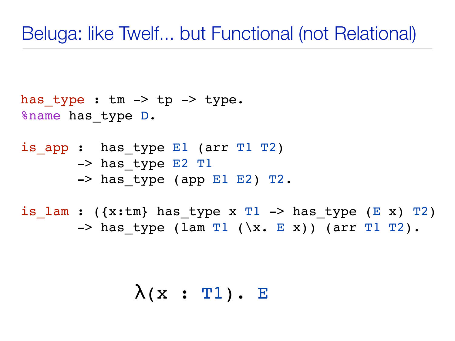## Beluga: like Twelf... but Functional (not Relational)

```
has type : tm \rightarrow tp \rightarrow type.
%name has_type D.
```
is app : has type E1 (arr T1 T2) -> has type E2 T1  $\rightarrow$  has type (app E1 E2) T2.

is lam : ( $\{x:tm\}$  has type x T1 -> has type (E x) T2)  $\Rightarrow$  has type (lam T1 (\x. E x)) (arr T1 T2).

 $\lambda(x : T1)$ . E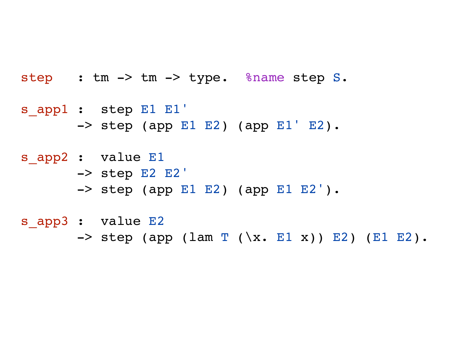step : tm -> tm -> type. %name step S.

s app1 : step E1 E1'  $\Rightarrow$  step (app E1 E2) (app E1' E2).

s app2 : value E1 -> step E2 E2'  $\text{--}$  step (app E1 E2) (app E1 E2').

s app3 : value E2  $\Rightarrow$  step (app (lam T (\x. E1 x)) E2) (E1 E2).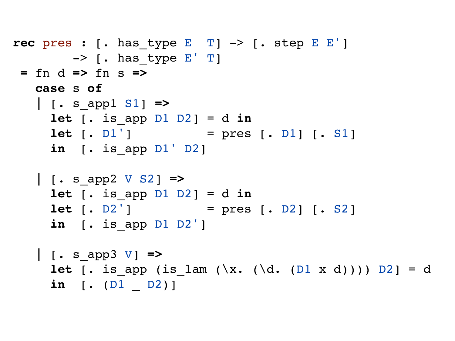```
rec pres : [. has_type E T] -> [. step E E'] 
        \rightarrow [. has type E' T]
= fn d => fn s =>
   case s of
    | [. s_app1 S1] =>
     let [ .  is app D1 D2 ] = d in
     let [. D1'] = pres [. D1] [. S1]
      in [. is_app D1' D2]
    | [. s_app2 V S2] =>
     let [ .  is app D1 D2 ] = d in
     let [. D2'] = pres [. D2] [. S2]
      in [. is_app D1 D2']
    | [. s_app3 V] =>
     let [. is_app (is_lam (\x. (\d. (D1 x d)))) D2] = d
      in [. (D1 _ D2)]
```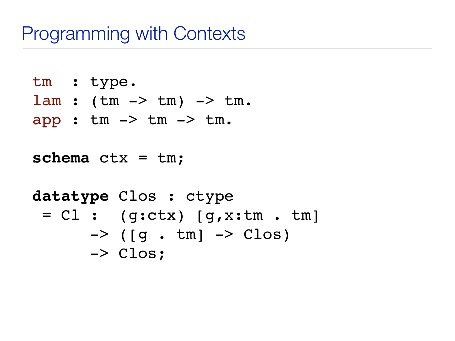```
tm : type.
lam : (tm \rightarrow tm) \rightarrow tm.
app : tm -> tm -> tm.
```

```
schema ctx = tm;
```

```
datatype Clos : ctype 
 = Cl : (g:ctx) [g, x:tm \t m]\rightarrow (\lceil q \cdot \text{tm} \rceil \rightarrow \text{Clos})
          -> Clos;
```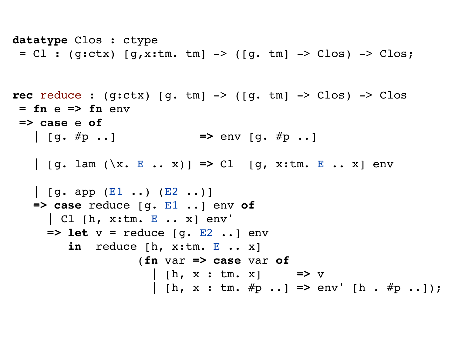```
datatype Clos : ctype 
 = Cl : (g:ctx) [g, x:tm.tm] -> ([g.tm] -> Clos) -> Clos;
```

```
rec reduce : (g:ctx) [g. tm] -> ([g. tm] -> Clos) -> Clos
= fn e => fn env 
=> case e of
    | [g. #p ..] => env [g. #p ..]
    | [g. lam (\x. E .. x)] => Cl [g, x:tm. E .. x] env
    | [g. app (E1 ..) (E2 ..)]
    => case reduce [g. E1 ..] env of
      | Cl [h, x:tm. E .. x] env'
      => let v = reduce [g. E2 ..] env 
         in reduce [h, x:tm. E .. x]
                   (fn var => case var of
                     | [h, x : tm. x] => v
                     | [h, x : tm. #p ..] => env' [h . #p ..]);
```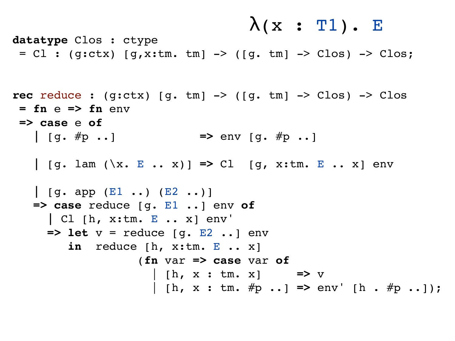$$
\lambda(x : T1). E
$$

**datatype** Clos : ctype =  $Cl$  : (g:ctx)  $[g, x:tm.tm]$  -> ( $[g.tm]$  ->  $Clos$ ) ->  $Clos$ ;

```
rec reduce : (g:ctx) [g. tm] -> ([g. tm] -> Clos) -> Clos
= fn e => fn env 
=> case e of
    | [g. #p ..] => env [g. #p ..]
    | [g. lam (\x. E .. x)] => Cl [g, x:tm. E .. x] env
    | [g. app (E1 ..) (E2 ..)]
    => case reduce [g. E1 ..] env of
      | Cl [h, x:tm. E .. x] env'
      => let v = reduce [g. E2 ..] env 
         in reduce [h, x:tm. E .. x]
                   (fn var => case var of
                     | [h, x : tm. x] => v
                     | [h, x : tm. #p ..] => env' [h . #p ..]);
```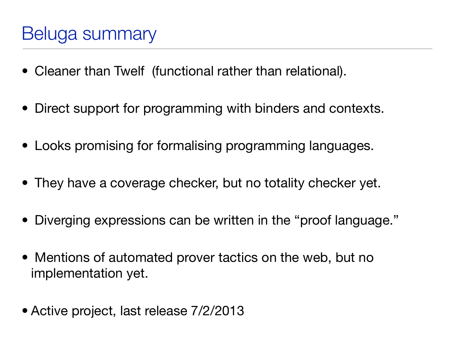- Cleaner than Twelf (functional rather than relational).
- Direct support for programming with binders and contexts.
- Looks promising for formalising programming languages.
- They have a coverage checker, but no totality checker yet.
- Diverging expressions can be written in the "proof language."
- Mentions of automated prover tactics on the web, but no implementation yet.
- Active project, last release 7/2/2013